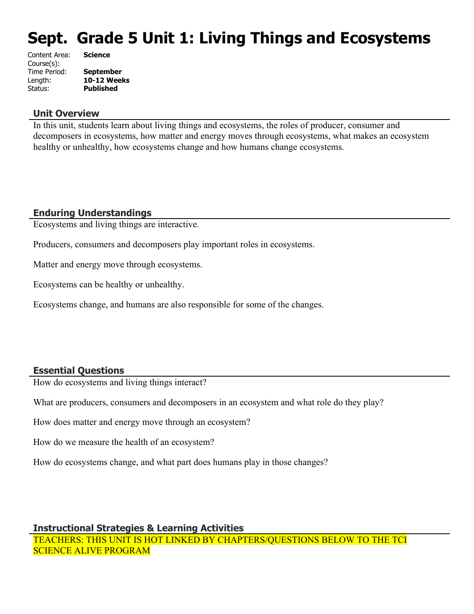# **Sept. Grade 5 Unit 1: Living Things and Ecosystems**

| Content Area: | <b>Science</b>   |
|---------------|------------------|
| Course(s):    |                  |
| Time Period:  | <b>September</b> |
| Length:       | 10-12 Weel       |
| Status:       | <b>Published</b> |
|               |                  |

#### **Unit Overview**

In this unit, students learn about living things and ecosystems, the roles of producer, consumer and decomposers in ecosystems, how matter and energy moves through ecosystems, what makes an ecosystem healthy or unhealthy, how ecosystems change and how humans change ecosystems.

# **Enduring Understandings**

Ecosystems and living things are interactive.

Length: **10-12 Weeks**

Producers, consumers and decomposers play important roles in ecosystems.

Matter and energy move through ecosystems.

Ecosystems can be healthy or unhealthy.

Ecosystems change, and humans are also responsible for some of the changes.

# **Essential Questions**

How do ecosystems and living things interact?

What are producers, consumers and decomposers in an ecosystem and what role do they play?

How does matter and energy move through an ecosystem?

How do we measure the health of an ecosystem?

How do ecosystems change, and what part does humans play in those changes?

#### **Instructional Strategies & Learning Activities**

TEACHERS: THIS UNIT IS HOT LINKED BY CHAPTERS/QUESTIONS BELOW TO THE TCI SCIENCE ALIVE PROGRAM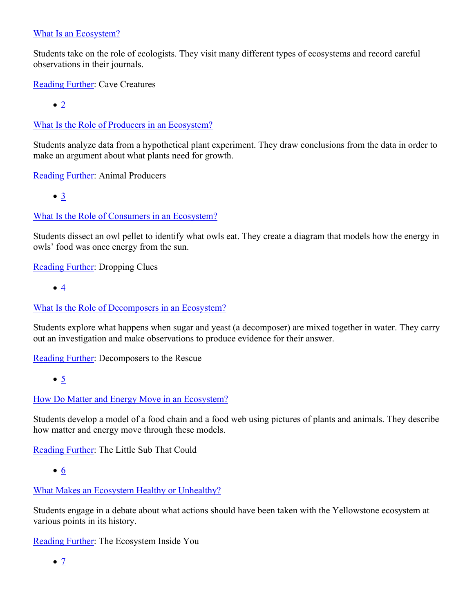# [What Is an Ecosystem?](https://subscriptions.teachtci.com/shared/programs/156/lessons/1575/slide_shows)

Students take on the role of ecologists. They visit many different types of ecosystems and record careful observations in their journals.

[Reading Further](https://subscriptions.teachtci.com/shared/sections/11390?program_id=156&student_view=true): Cave Creatures

 $\bullet$  [2](https://subscriptions.teachtci.com/shared/programs/156/lessons/1576/slide_shows)

[What Is the Role of Producers in an Ecosystem?](https://subscriptions.teachtci.com/shared/programs/156/lessons/1576/slide_shows)

Students analyze data from a hypothetical plant experiment. They draw conclusions from the data in order to make an argument about what plants need for growth.

[Reading Further](https://subscriptions.teachtci.com/shared/sections/11418?program_id=156&student_view=true): Animal Producers

 $\bullet$   $\frac{3}{2}$  $\frac{3}{2}$  $\frac{3}{2}$ 

[What Is the Role of Consumers in an Ecosystem?](https://subscriptions.teachtci.com/shared/programs/156/lessons/1577/slide_shows)

Students dissect an owl pellet to identify what owls eat. They create a diagram that models how the energy in owls' food was once energy from the sun.

[Reading Further](https://subscriptions.teachtci.com/shared/sections/11442?program_id=156&student_view=true): Dropping Clues

[4](https://subscriptions.teachtci.com/shared/programs/156/lessons/1578/slide_shows)

[What Is the Role of Decomposers in an Ecosystem?](https://subscriptions.teachtci.com/shared/programs/156/lessons/1578/slide_shows)

Students explore what happens when sugar and yeast (a decomposer) are mixed together in water. They carry out an investigation and make observations to produce evidence for their answer.

[Reading Further](https://subscriptions.teachtci.com/shared/sections/11495?program_id=156&student_view=true): Decomposers to the Rescue

 $\bullet$  [5](https://subscriptions.teachtci.com/shared/programs/156/lessons/1579/slide_shows)

[How Do Matter and Energy Move in an Ecosystem?](https://subscriptions.teachtci.com/shared/programs/156/lessons/1579/slide_shows)

Students develop a model of a food chain and a food web using pictures of plants and animals. They describe how matter and energy move through these models.

[Reading Further](https://subscriptions.teachtci.com/shared/sections/11509?program_id=156&student_view=true): The Little Sub That Could

[What Makes an Ecosystem Healthy or Unhealthy?](https://subscriptions.teachtci.com/shared/programs/156/lessons/1580/slide_shows)

Students engage in a debate about what actions should have been taken with the Yellowstone ecosystem at various points in its history.

[Reading Further](https://subscriptions.teachtci.com/shared/sections/11529?program_id=156&student_view=true): The Ecosystem Inside You

[6](https://subscriptions.teachtci.com/shared/programs/156/lessons/1580/slide_shows)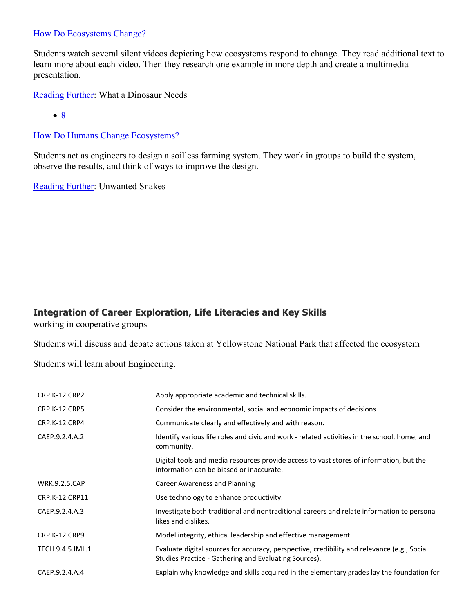# [How Do Ecosystems Change?](https://subscriptions.teachtci.com/shared/programs/156/lessons/1581/slide_shows)

Students watch several silent videos depicting how ecosystems respond to change. They read additional text to learn more about each video. Then they research one example in more depth and create a multimedia presentation.

[Reading Further](https://subscriptions.teachtci.com/shared/sections/11638?program_id=156&student_view=true): What a Dinosaur Needs

[8](https://subscriptions.teachtci.com/shared/programs/156/lessons/1582/slide_shows)

[How Do Humans Change Ecosystems?](https://subscriptions.teachtci.com/shared/programs/156/lessons/1582/slide_shows)

Students act as engineers to design a soilless farming system. They work in groups to build the system, observe the results, and think of ways to improve the design.

[Reading Further](https://subscriptions.teachtci.com/shared/sections/11677?program_id=156&student_view=true): Unwanted Snakes

# **Integration of Career Exploration, Life Literacies and Key Skills**

working in cooperative groups

Students will discuss and debate actions taken at Yellowstone National Park that affected the ecosystem

Students will learn about Engineering.

| <b>CRP.K-12.CRP2</b> | Apply appropriate academic and technical skills.                                                                                                     |
|----------------------|------------------------------------------------------------------------------------------------------------------------------------------------------|
| <b>CRP.K-12.CRP5</b> | Consider the environmental, social and economic impacts of decisions.                                                                                |
| CRP.K-12.CRP4        | Communicate clearly and effectively and with reason.                                                                                                 |
| CAEP.9.2.4.A.2       | Identify various life roles and civic and work - related activities in the school, home, and<br>community.                                           |
|                      | Digital tools and media resources provide access to vast stores of information, but the<br>information can be biased or inaccurate.                  |
| <b>WRK.9.2.5.CAP</b> | Career Awareness and Planning                                                                                                                        |
| CRP.K-12.CRP11       | Use technology to enhance productivity.                                                                                                              |
| CAEP.9.2.4.A.3       | Investigate both traditional and nontraditional careers and relate information to personal<br>likes and dislikes.                                    |
| CRP.K-12.CRP9        | Model integrity, ethical leadership and effective management.                                                                                        |
| TECH.9.4.5.IML.1     | Evaluate digital sources for accuracy, perspective, credibility and relevance (e.g., Social<br>Studies Practice - Gathering and Evaluating Sources). |
| CAEP.9.2.4.A.4       | Explain why knowledge and skills acquired in the elementary grades lay the foundation for                                                            |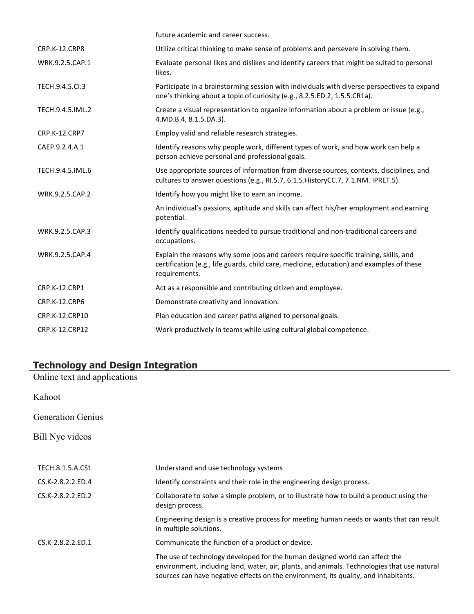|                      | future academic and career success.                                                                                                                                                               |
|----------------------|---------------------------------------------------------------------------------------------------------------------------------------------------------------------------------------------------|
| CRP.K-12.CRP8        | Utilize critical thinking to make sense of problems and persevere in solving them.                                                                                                                |
| WRK.9.2.5.CAP.1      | Evaluate personal likes and dislikes and identify careers that might be suited to personal<br>likes.                                                                                              |
| TECH.9.4.5.Cl.3      | Participate in a brainstorming session with individuals with diverse perspectives to expand<br>one's thinking about a topic of curiosity (e.g., 8.2.5.ED.2, 1.5.5.CR1a).                          |
| TECH.9.4.5.IML.2     | Create a visual representation to organize information about a problem or issue (e.g.,<br>4.MD.B.4, 8.1.5.DA.3).                                                                                  |
| CRP.K-12.CRP7        | Employ valid and reliable research strategies.                                                                                                                                                    |
| CAEP.9.2.4.A.1       | Identify reasons why people work, different types of work, and how work can help a<br>person achieve personal and professional goals.                                                             |
| TECH.9.4.5.IML.6     | Use appropriate sources of information from diverse sources, contexts, disciplines, and<br>cultures to answer questions (e.g., RI.5.7, 6.1.5. History CC.7, 7.1. NM. IPRET.5).                    |
| WRK.9.2.5.CAP.2      | Identify how you might like to earn an income.                                                                                                                                                    |
|                      | An individual's passions, aptitude and skills can affect his/her employment and earning<br>potential.                                                                                             |
| WRK.9.2.5.CAP.3      | Identify qualifications needed to pursue traditional and non-traditional careers and<br>occupations.                                                                                              |
| WRK.9.2.5.CAP.4      | Explain the reasons why some jobs and careers require specific training, skills, and<br>certification (e.g., life guards, child care, medicine, education) and examples of these<br>requirements. |
| CRP.K-12.CRP1        | Act as a responsible and contributing citizen and employee.                                                                                                                                       |
| <b>CRP.K-12.CRP6</b> | Demonstrate creativity and innovation.                                                                                                                                                            |
| CRP.K-12.CRP10       | Plan education and career paths aligned to personal goals.                                                                                                                                        |
| CRP.K-12.CRP12       | Work productively in teams while using cultural global competence.                                                                                                                                |
|                      |                                                                                                                                                                                                   |

# **Technology and Design Integration**

Online text and applications Kahoot Generation Genius Bill Nye videos TECH.8.1.5.A.CS1 Understand and use technology systems CS.K-2.8.2.2.ED.4 Identify constraints and their role in the engineering design process. CS.K-2.8.2.2.ED.2 Collaborate to solve a simple problem, or to illustrate how to build a product using the design process. Engineering design is a creative process for meeting human needs or wants that can result in multiple solutions. CS.K-2.8.2.2.ED.1 Communicate the function of a product or device. The use of technology developed for the human designed world can affect the environment, including land, water, air, plants, and animals. Technologies that use natural sources can have negative effects on the environment, its quality, and inhabitants.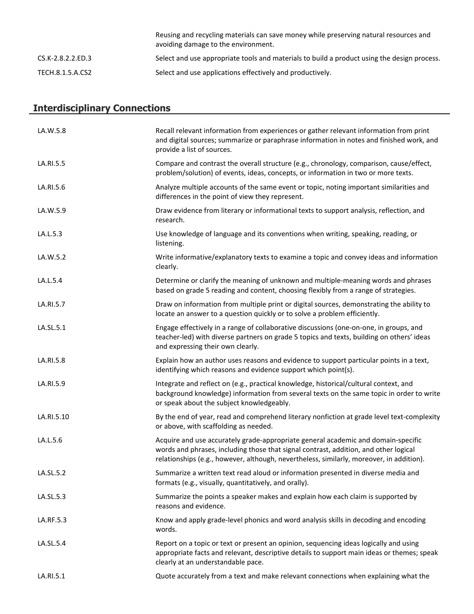|                   | Reusing and recycling materials can save money while preserving natural resources and<br>avoiding damage to the environment. |
|-------------------|------------------------------------------------------------------------------------------------------------------------------|
| CS.K-2.8.2.2.ED.3 | Select and use appropriate tools and materials to build a product using the design process.                                  |
| TECH.8.1.5.A.CS2  | Select and use applications effectively and productively.                                                                    |

# **Interdisciplinary Connections**

| LA.W.5.8   | Recall relevant information from experiences or gather relevant information from print<br>and digital sources; summarize or paraphrase information in notes and finished work, and<br>provide a list of sources.                                                      |
|------------|-----------------------------------------------------------------------------------------------------------------------------------------------------------------------------------------------------------------------------------------------------------------------|
| LA.RI.5.5  | Compare and contrast the overall structure (e.g., chronology, comparison, cause/effect,<br>problem/solution) of events, ideas, concepts, or information in two or more texts.                                                                                         |
| LA.RI.5.6  | Analyze multiple accounts of the same event or topic, noting important similarities and<br>differences in the point of view they represent.                                                                                                                           |
| LA.W.5.9   | Draw evidence from literary or informational texts to support analysis, reflection, and<br>research.                                                                                                                                                                  |
| LA.L.5.3   | Use knowledge of language and its conventions when writing, speaking, reading, or<br>listening.                                                                                                                                                                       |
| LA.W.5.2   | Write informative/explanatory texts to examine a topic and convey ideas and information<br>clearly.                                                                                                                                                                   |
| LA.L.5.4   | Determine or clarify the meaning of unknown and multiple-meaning words and phrases<br>based on grade 5 reading and content, choosing flexibly from a range of strategies.                                                                                             |
| LA.RI.5.7  | Draw on information from multiple print or digital sources, demonstrating the ability to<br>locate an answer to a question quickly or to solve a problem efficiently.                                                                                                 |
| LA.SL.5.1  | Engage effectively in a range of collaborative discussions (one-on-one, in groups, and<br>teacher-led) with diverse partners on grade 5 topics and texts, building on others' ideas<br>and expressing their own clearly.                                              |
| LA.RI.5.8  | Explain how an author uses reasons and evidence to support particular points in a text,<br>identifying which reasons and evidence support which point(s).                                                                                                             |
| LA.RI.5.9  | Integrate and reflect on (e.g., practical knowledge, historical/cultural context, and<br>background knowledge) information from several texts on the same topic in order to write<br>or speak about the subject knowledgeably.                                        |
| LA.RI.5.10 | By the end of year, read and comprehend literary nonfiction at grade level text-complexity<br>or above, with scaffolding as needed.                                                                                                                                   |
| LA.L.5.6   | Acquire and use accurately grade-appropriate general academic and domain-specific<br>words and phrases, including those that signal contrast, addition, and other logical<br>relationships (e.g., however, although, nevertheless, similarly, moreover, in addition). |
| LA.SL.5.2  | Summarize a written text read aloud or information presented in diverse media and<br>formats (e.g., visually, quantitatively, and orally).                                                                                                                            |
| LA.SL.5.3  | Summarize the points a speaker makes and explain how each claim is supported by<br>reasons and evidence.                                                                                                                                                              |
| LA.RF.5.3  | Know and apply grade-level phonics and word analysis skills in decoding and encoding<br>words.                                                                                                                                                                        |
| LA.SL.5.4  | Report on a topic or text or present an opinion, sequencing ideas logically and using<br>appropriate facts and relevant, descriptive details to support main ideas or themes; speak<br>clearly at an understandable pace.                                             |
| LA.RI.5.1  | Quote accurately from a text and make relevant connections when explaining what the                                                                                                                                                                                   |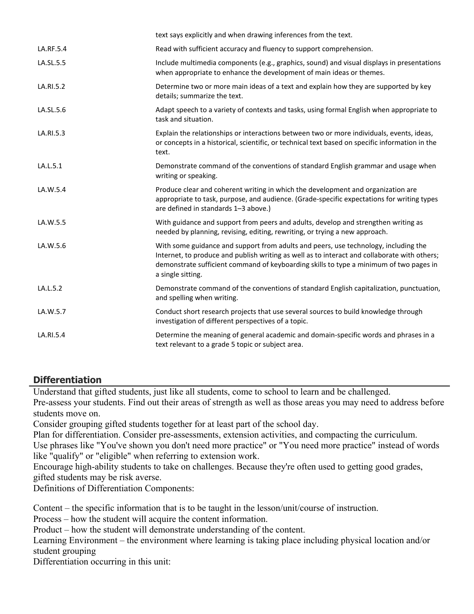| text says explicitly and when drawing inferences from the text.                                                                                                                                                                                                                                    |
|----------------------------------------------------------------------------------------------------------------------------------------------------------------------------------------------------------------------------------------------------------------------------------------------------|
| Read with sufficient accuracy and fluency to support comprehension.                                                                                                                                                                                                                                |
| Include multimedia components (e.g., graphics, sound) and visual displays in presentations<br>when appropriate to enhance the development of main ideas or themes.                                                                                                                                 |
| Determine two or more main ideas of a text and explain how they are supported by key<br>details; summarize the text.                                                                                                                                                                               |
| Adapt speech to a variety of contexts and tasks, using formal English when appropriate to<br>task and situation.                                                                                                                                                                                   |
| Explain the relationships or interactions between two or more individuals, events, ideas,<br>or concepts in a historical, scientific, or technical text based on specific information in the<br>text.                                                                                              |
| Demonstrate command of the conventions of standard English grammar and usage when<br>writing or speaking.                                                                                                                                                                                          |
| Produce clear and coherent writing in which the development and organization are<br>appropriate to task, purpose, and audience. (Grade-specific expectations for writing types<br>are defined in standards 1-3 above.)                                                                             |
| With guidance and support from peers and adults, develop and strengthen writing as<br>needed by planning, revising, editing, rewriting, or trying a new approach.                                                                                                                                  |
| With some guidance and support from adults and peers, use technology, including the<br>Internet, to produce and publish writing as well as to interact and collaborate with others;<br>demonstrate sufficient command of keyboarding skills to type a minimum of two pages in<br>a single sitting. |
| Demonstrate command of the conventions of standard English capitalization, punctuation,<br>and spelling when writing.                                                                                                                                                                              |
| Conduct short research projects that use several sources to build knowledge through<br>investigation of different perspectives of a topic.                                                                                                                                                         |
| Determine the meaning of general academic and domain-specific words and phrases in a<br>text relevant to a grade 5 topic or subject area.                                                                                                                                                          |
|                                                                                                                                                                                                                                                                                                    |

# **Differentiation**

Understand that gifted students, just like all students, come to school to learn and be challenged. Pre-assess your students. Find out their areas of strength as well as those areas you may need to address before students move on.

Consider grouping gifted students together for at least part of the school day.

Plan for differentiation. Consider pre-assessments, extension activities, and compacting the curriculum.

Use phrases like "You've shown you don't need more practice" or "You need more practice" instead of words like "qualify" or "eligible" when referring to extension work.

Encourage high-ability students to take on challenges. Because they're often used to getting good grades, gifted students may be risk averse.

Definitions of Differentiation Components:

Content – the specific information that is to be taught in the lesson/unit/course of instruction.

Process – how the student will acquire the content information.

Product – how the student will demonstrate understanding of the content.

Learning Environment – the environment where learning is taking place including physical location and/or student grouping

Differentiation occurring in this unit: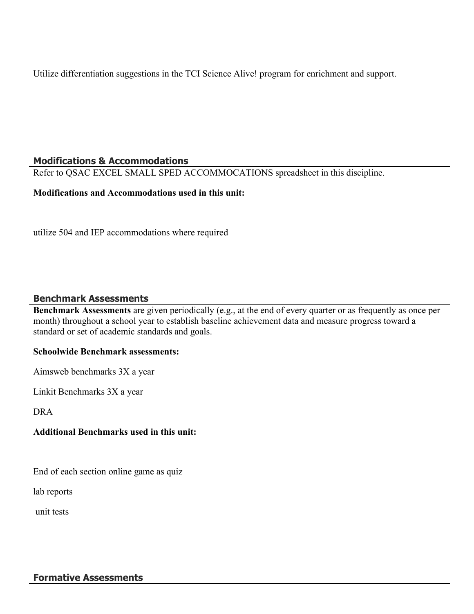Utilize differentiation suggestions in the TCI Science Alive! program for enrichment and support.

# **Modifications & Accommodations**

Refer to QSAC EXCEL SMALL SPED ACCOMMOCATIONS spreadsheet in this discipline.

# **Modifications and Accommodations used in this unit:**

utilize 504 and IEP accommodations where required

# **Benchmark Assessments**

**Benchmark Assessments** are given periodically (e.g., at the end of every quarter or as frequently as once per month) throughout a school year to establish baseline achievement data and measure progress toward a standard or set of academic standards and goals.

# **Schoolwide Benchmark assessments:**

Aimsweb benchmarks 3X a year

Linkit Benchmarks 3X a year

DRA

# **Additional Benchmarks used in this unit:**

End of each section online game as quiz

lab reports

unit tests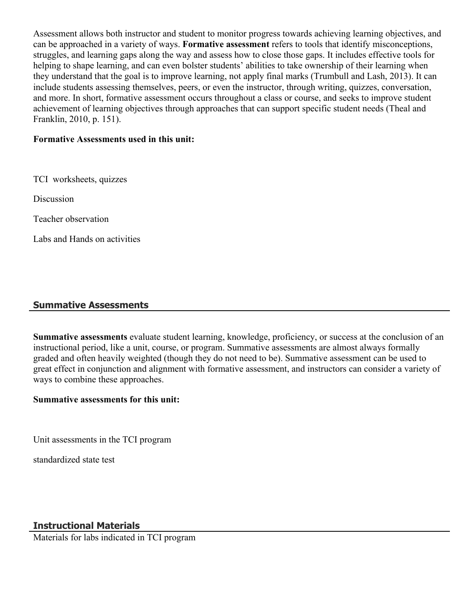Assessment allows both instructor and student to monitor progress towards achieving learning objectives, and can be approached in a variety of ways. **Formative assessment** refers to tools that identify misconceptions, struggles, and learning gaps along the way and assess how to close those gaps. It includes effective tools for helping to shape learning, and can even bolster students' abilities to take ownership of their learning when they understand that the goal is to improve learning, not apply final marks (Trumbull and Lash, 2013). It can include students assessing themselves, peers, or even the instructor, through writing, quizzes, conversation, and more. In short, formative assessment occurs throughout a class or course, and seeks to improve student achievement of learning objectives through approaches that can support specific student needs (Theal and Franklin, 2010, p. 151).

# **Formative Assessments used in this unit:**

TCI worksheets, quizzes

Discussion

Teacher observation

Labs and Hands on activities

# **Summative Assessments**

**Summative assessments** evaluate student learning, knowledge, proficiency, or success at the conclusion of an instructional period, like a unit, course, or program. Summative assessments are almost always formally graded and often heavily weighted (though they do not need to be). Summative assessment can be used to great effect in conjunction and alignment with formative assessment, and instructors can consider a variety of ways to combine these approaches.

#### **Summative assessments for this unit:**

Unit assessments in the TCI program

standardized state test

# **Instructional Materials**

Materials for labs indicated in TCI program